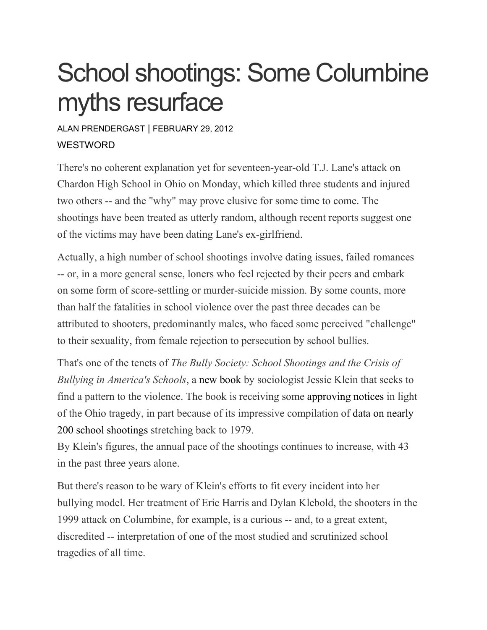## School shootings: Some Columbine myths resurface

## ALAN [PRENDERGAST](https://www.westword.com/authors/alan-prendergast-5052731) | FEBRUARY 29, 2012 **WESTWORD**

There's no coherent explanation yet for seventeen-year-old T.J. Lane's attack on Chardon High School in Ohio on Monday, which killed three students and injured two others -- and the "why" may prove elusive for some time to come. The shootings have been treated as utterly random, although recent reports suggest one of the victims may have been dating Lane's ex-girlfriend.

Actually, a high number of school shootings involve dating issues, failed romances -- or, in a more general sense, loners who feel rejected by their peers and embark on some form of score-settling or murder-suicide mission. By some counts, more than half the fatalities in school violence over the past three decades can be attributed to shooters, predominantly males, who faced some perceived "challenge" to their sexuality, from female rejection to persecution by school bullies.

That's one of the tenets of *The Bully Society: School Shootings and the Crisis of Bullying in America's Schools*, a new [book](http://www.amazon.com/Bully-Society-Intersections-Transdisciplinary-Perspectives/dp/0814748880) by sociologist Jessie Klein that seeks to find a pattern to the violence. The book is receiving some [approving](http://www.slate.com/blogs/xx_factor/2012/02/28/the_chardon_ohio_school_shooting_and_the_reasons_why_.html?wpisrc=twitter_socialflow) notices in light of the Ohio tragedy, in part because of its impressive compilation of data on [nearly](http://www.nyupress.org/bullysociety/dataonschoolshootings.pdf) 200 school [shootings](http://www.nyupress.org/bullysociety/dataonschoolshootings.pdf) stretching back to 1979.

By Klein's figures, the annual pace of the shootings continues to increase, with 43 in the past three years alone.

But there's reason to be wary of Klein's efforts to fit every incident into her bullying model. Her treatment of Eric Harris and Dylan Klebold, the shooters in the 1999 attack on Columbine, for example, is a curious -- and, to a great extent, discredited -- interpretation of one of the most studied and scrutinized school tragedies of all time.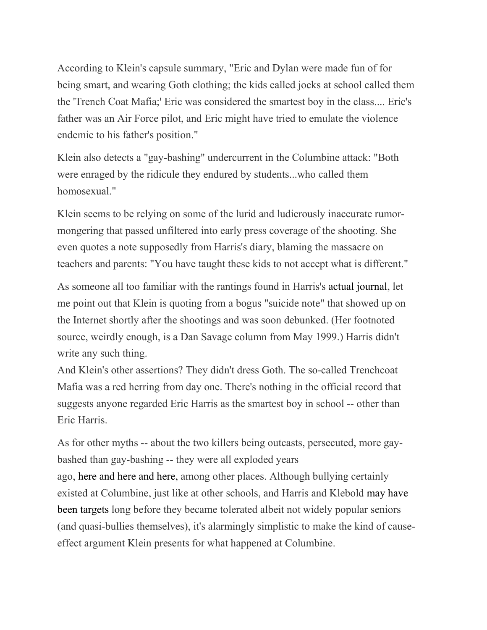According to Klein's capsule summary, "Eric and Dylan were made fun of for being smart, and wearing Goth clothing; the kids called jocks at school called them the 'Trench Coat Mafia;' Eric was considered the smartest boy in the class.... Eric's father was an Air Force pilot, and Eric might have tried to emulate the violence endemic to his father's position."

Klein also detects a "gay-bashing" undercurrent in the Columbine attack: "Both were enraged by the ridicule they endured by students...who called them homosexual."

Klein seems to be relying on some of the lurid and ludicrously inaccurate rumormongering that passed unfiltered into early press coverage of the shooting. She even quotes a note supposedly from Harris's diary, blaming the massacre on teachers and parents: "You have taught these kids to not accept what is different."

As someone all too familiar with the rantings found in Harris's actual [journal,](http://www.westword.com/2001-12-06/news/i-m-full-of-hate-and-i-love-it/) let me point out that Klein is quoting from a bogus "suicide note" that showed up on the Internet shortly after the shootings and was soon debunked. (Her footnoted source, weirdly enough, is a Dan Savage column from May 1999.) Harris didn't write any such thing.

And Klein's other assertions? They didn't dress Goth. The so-called Trenchcoat Mafia was a red herring from day one. There's nothing in the official record that suggests anyone regarded Eric Harris as the smartest boy in school -- other than Eric Harris.

As for other myths -- about the two killers being outcasts, persecuted, more gaybashed than gay-bashing -- they were all exploded years ago, [here](http://www.westword.com/1999-08-05/news/doom-rules/3)/2/) and [here](http://www.westword.com/2001-10-25/news/back-to-school/) and [here,](http://www.westword.com/2006-04-13/news/hiding-in-plain-sight/) among other places. Although bullying certainly existed at Columbine, just like at other schools, and Harris and Klebold may [have](http://www.westword.com/2000-07-13/news/the-missing-motive/) been [targets](http://www.westword.com/2000-07-13/news/the-missing-motive/) long before they became tolerated albeit not widely popular seniors (and quasi-bullies themselves), it's alarmingly simplistic to make the kind of causeeffect argument Klein presents for what happened at Columbine.